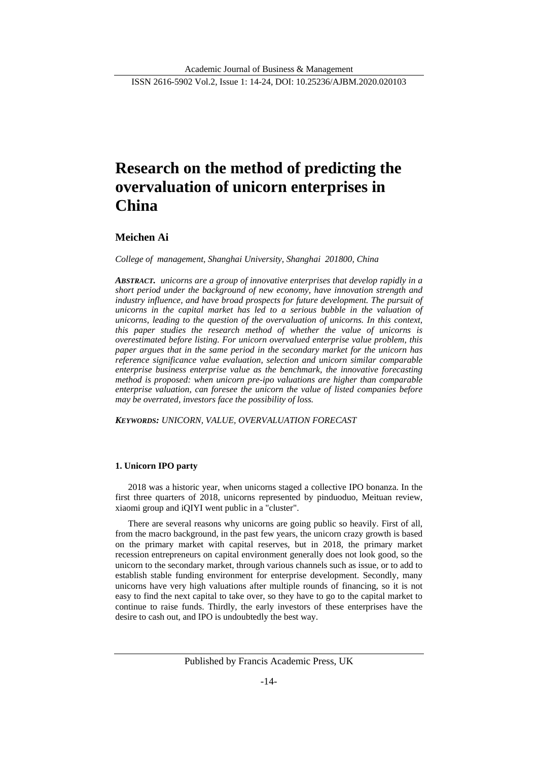# **Research on the method of predicting the overvaluation of unicorn enterprises in China**

## **Meichen Ai**

*College of management, Shanghai University, Shanghai 201800, China*

*ABSTRACT. unicorns are a group of innovative enterprises that develop rapidly in a short period under the background of new economy, have innovation strength and industry influence, and have broad prospects for future development. The pursuit of unicorns in the capital market has led to a serious bubble in the valuation of unicorns, leading to the question of the overvaluation of unicorns. In this context, this paper studies the research method of whether the value of unicorns is overestimated before listing. For unicorn overvalued enterprise value problem, this paper argues that in the same period in the secondary market for the unicorn has reference significance value evaluation, selection and unicorn similar comparable enterprise business enterprise value as the benchmark, the innovative forecasting method is proposed: when unicorn pre-ipo valuations are higher than comparable enterprise valuation, can foresee the unicorn the value of listed companies before may be overrated, investors face the possibility of loss.*

*KEYWORDS: UNICORN, VALUE, OVERVALUATION FORECAST*

## **1. Unicorn IPO party**

2018 was a historic year, when unicorns staged a collective IPO bonanza. In the first three quarters of 2018, unicorns represented by pinduoduo, Meituan review, xiaomi group and iQIYI went public in a "cluster".

There are several reasons why unicorns are going public so heavily. First of all, from the macro background, in the past few years, the unicorn crazy growth is based on the primary market with capital reserves, but in 2018, the primary market recession entrepreneurs on capital environment generally does not look good, so the unicorn to the secondary market, through various channels such as issue, or to add to establish stable funding environment for enterprise development. Secondly, many unicorns have very high valuations after multiple rounds of financing, so it is not easy to find the next capital to take over, so they have to go to the capital market to continue to raise funds. Thirdly, the early investors of these enterprises have the desire to cash out, and IPO is undoubtedly the best way.

Published by Francis Academic Press, UK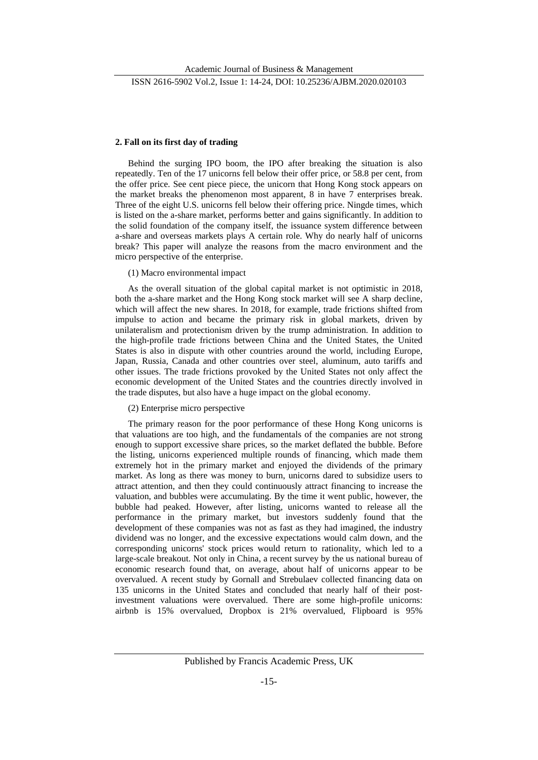## **2. Fall on its first day of trading**

Behind the surging IPO boom, the IPO after breaking the situation is also repeatedly. Ten of the 17 unicorns fell below their offer price, or 58.8 per cent, from the offer price. See cent piece piece, the unicorn that Hong Kong stock appears on the market breaks the phenomenon most apparent, 8 in have 7 enterprises break. Three of the eight U.S. unicorns fell below their offering price. Ningde times, which is listed on the a-share market, performs better and gains significantly. In addition to the solid foundation of the company itself, the issuance system difference between a-share and overseas markets plays A certain role. Why do nearly half of unicorns break? This paper will analyze the reasons from the macro environment and the micro perspective of the enterprise.

#### (1) Macro environmental impact

As the overall situation of the global capital market is not optimistic in 2018, both the a-share market and the Hong Kong stock market will see A sharp decline, which will affect the new shares. In 2018, for example, trade frictions shifted from impulse to action and became the primary risk in global markets, driven by unilateralism and protectionism driven by the trump administration. In addition to the high-profile trade frictions between China and the United States, the United States is also in dispute with other countries around the world, including Europe, Japan, Russia, Canada and other countries over steel, aluminum, auto tariffs and other issues. The trade frictions provoked by the United States not only affect the economic development of the United States and the countries directly involved in the trade disputes, but also have a huge impact on the global economy.

## (2) Enterprise micro perspective

The primary reason for the poor performance of these Hong Kong unicorns is that valuations are too high, and the fundamentals of the companies are not strong enough to support excessive share prices, so the market deflated the bubble. Before the listing, unicorns experienced multiple rounds of financing, which made them extremely hot in the primary market and enjoyed the dividends of the primary market. As long as there was money to burn, unicorns dared to subsidize users to attract attention, and then they could continuously attract financing to increase the valuation, and bubbles were accumulating. By the time it went public, however, the bubble had peaked. However, after listing, unicorns wanted to release all the performance in the primary market, but investors suddenly found that the development of these companies was not as fast as they had imagined, the industry dividend was no longer, and the excessive expectations would calm down, and the corresponding unicorns' stock prices would return to rationality, which led to a large-scale breakout. Not only in China, a recent survey by the us national bureau of economic research found that, on average, about half of unicorns appear to be overvalued. A recent study by Gornall and Strebulaev collected financing data on 135 unicorns in the United States and concluded that nearly half of their postinvestment valuations were overvalued. There are some high-profile unicorns: airbnb is 15% overvalued, Dropbox is 21% overvalued, Flipboard is 95%

Published by Francis Academic Press, UK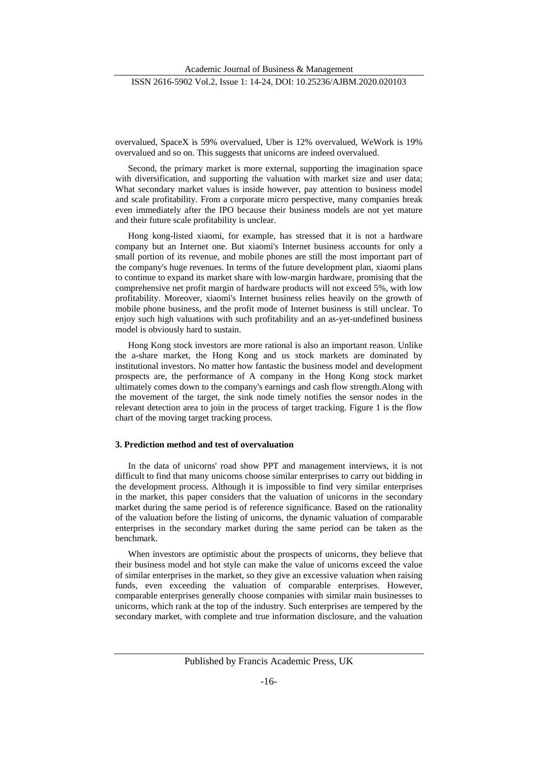overvalued, SpaceX is 59% overvalued, Uber is 12% overvalued, WeWork is 19% overvalued and so on. This suggests that unicorns are indeed overvalued.

Second, the primary market is more external, supporting the imagination space with diversification, and supporting the valuation with market size and user data; What secondary market values is inside however, pay attention to business model and scale profitability. From a corporate micro perspective, many companies break even immediately after the IPO because their business models are not yet mature and their future scale profitability is unclear.

Hong kong-listed xiaomi, for example, has stressed that it is not a hardware company but an Internet one. But xiaomi's Internet business accounts for only a small portion of its revenue, and mobile phones are still the most important part of the company's huge revenues. In terms of the future development plan, xiaomi plans to continue to expand its market share with low-margin hardware, promising that the comprehensive net profit margin of hardware products will not exceed 5%, with low profitability. Moreover, xiaomi's Internet business relies heavily on the growth of mobile phone business, and the profit mode of Internet business is still unclear. To enjoy such high valuations with such profitability and an as-yet-undefined business model is obviously hard to sustain.

Hong Kong stock investors are more rational is also an important reason. Unlike the a-share market, the Hong Kong and us stock markets are dominated by institutional investors. No matter how fantastic the business model and development prospects are, the performance of A company in the Hong Kong stock market ultimately comes down to the company's earnings and cash flow strength.Along with the movement of the target, the sink node timely notifies the sensor nodes in the relevant detection area to join in the process of target tracking. Figure 1 is the flow chart of the moving target tracking process.

#### **3. Prediction method and test of overvaluation**

In the data of unicorns' road show PPT and management interviews, it is not difficult to find that many unicorns choose similar enterprises to carry out bidding in the development process. Although it is impossible to find very similar enterprises in the market, this paper considers that the valuation of unicorns in the secondary market during the same period is of reference significance. Based on the rationality of the valuation before the listing of unicorns, the dynamic valuation of comparable enterprises in the secondary market during the same period can be taken as the benchmark.

When investors are optimistic about the prospects of unicorns, they believe that their business model and hot style can make the value of unicorns exceed the value of similar enterprises in the market, so they give an excessive valuation when raising funds, even exceeding the valuation of comparable enterprises. However, comparable enterprises generally choose companies with similar main businesses to unicorns, which rank at the top of the industry. Such enterprises are tempered by the secondary market, with complete and true information disclosure, and the valuation

Published by Francis Academic Press, UK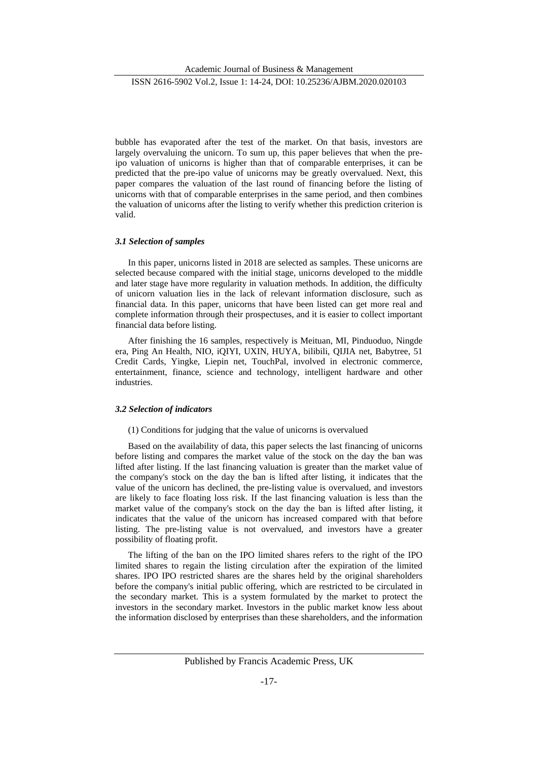Academic Journal of Business & Management

ISSN 2616-5902 Vol.2, Issue 1: 14-24, DOI: 10.25236/AJBM.2020.020103

bubble has evaporated after the test of the market. On that basis, investors are largely overvaluing the unicorn. To sum up, this paper believes that when the preipo valuation of unicorns is higher than that of comparable enterprises, it can be predicted that the pre-ipo value of unicorns may be greatly overvalued. Next, this paper compares the valuation of the last round of financing before the listing of unicorns with that of comparable enterprises in the same period, and then combines the valuation of unicorns after the listing to verify whether this prediction criterion is valid.

## *3.1 Selection of samples*

In this paper, unicorns listed in 2018 are selected as samples. These unicorns are selected because compared with the initial stage, unicorns developed to the middle and later stage have more regularity in valuation methods. In addition, the difficulty of unicorn valuation lies in the lack of relevant information disclosure, such as financial data. In this paper, unicorns that have been listed can get more real and complete information through their prospectuses, and it is easier to collect important financial data before listing.

After finishing the 16 samples, respectively is Meituan, MI, Pinduoduo, Ningde era, Ping An Health, NIO, iQIYI, UXIN, HUYA, bilibili, QIJIA net, Babytree, 51 Credit Cards, Yingke, Liepin net, TouchPal, involved in electronic commerce, entertainment, finance, science and technology, intelligent hardware and other industries.

#### *3.2 Selection of indicators*

## (1) Conditions for judging that the value of unicorns is overvalued

Based on the availability of data, this paper selects the last financing of unicorns before listing and compares the market value of the stock on the day the ban was lifted after listing. If the last financing valuation is greater than the market value of the company's stock on the day the ban is lifted after listing, it indicates that the value of the unicorn has declined, the pre-listing value is overvalued, and investors are likely to face floating loss risk. If the last financing valuation is less than the market value of the company's stock on the day the ban is lifted after listing, it indicates that the value of the unicorn has increased compared with that before listing. The pre-listing value is not overvalued, and investors have a greater possibility of floating profit.

The lifting of the ban on the IPO limited shares refers to the right of the IPO limited shares to regain the listing circulation after the expiration of the limited shares. IPO IPO restricted shares are the shares held by the original shareholders before the company's initial public offering, which are restricted to be circulated in the secondary market. This is a system formulated by the market to protect the investors in the secondary market. Investors in the public market know less about the information disclosed by enterprises than these shareholders, and the information

Published by Francis Academic Press, UK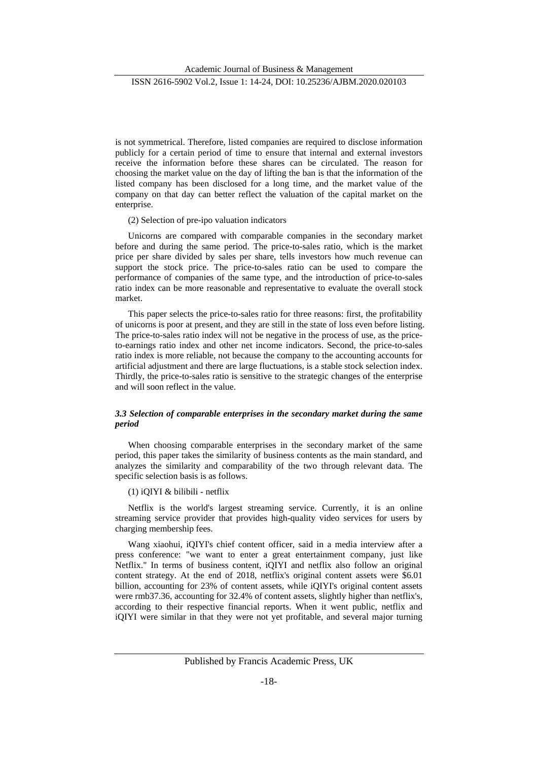is not symmetrical. Therefore, listed companies are required to disclose information publicly for a certain period of time to ensure that internal and external investors receive the information before these shares can be circulated. The reason for choosing the market value on the day of lifting the ban is that the information of the listed company has been disclosed for a long time, and the market value of the company on that day can better reflect the valuation of the capital market on the enterprise.

(2) Selection of pre-ipo valuation indicators

Unicorns are compared with comparable companies in the secondary market before and during the same period. The price-to-sales ratio, which is the market price per share divided by sales per share, tells investors how much revenue can support the stock price. The price-to-sales ratio can be used to compare the performance of companies of the same type, and the introduction of price-to-sales ratio index can be more reasonable and representative to evaluate the overall stock market.

This paper selects the price-to-sales ratio for three reasons: first, the profitability of unicorns is poor at present, and they are still in the state of loss even before listing. The price-to-sales ratio index will not be negative in the process of use, as the priceto-earnings ratio index and other net income indicators. Second, the price-to-sales ratio index is more reliable, not because the company to the accounting accounts for artificial adjustment and there are large fluctuations, is a stable stock selection index. Thirdly, the price-to-sales ratio is sensitive to the strategic changes of the enterprise and will soon reflect in the value.

## *3.3 Selection of comparable enterprises in the secondary market during the same period*

When choosing comparable enterprises in the secondary market of the same period, this paper takes the similarity of business contents as the main standard, and analyzes the similarity and comparability of the two through relevant data. The specific selection basis is as follows.

(1) iQIYI & bilibili - netflix

Netflix is the world's largest streaming service. Currently, it is an online streaming service provider that provides high-quality video services for users by charging membership fees.

Wang xiaohui, iQIYI's chief content officer, said in a media interview after a press conference: "we want to enter a great entertainment company, just like Netflix." In terms of business content, iQIYI and netflix also follow an original content strategy. At the end of 2018, netflix's original content assets were \$6.01 billion, accounting for 23% of content assets, while iQIYI's original content assets were rmb37.36, accounting for 32.4% of content assets, slightly higher than netflix's, according to their respective financial reports. When it went public, netflix and iQIYI were similar in that they were not yet profitable, and several major turning

Published by Francis Academic Press, UK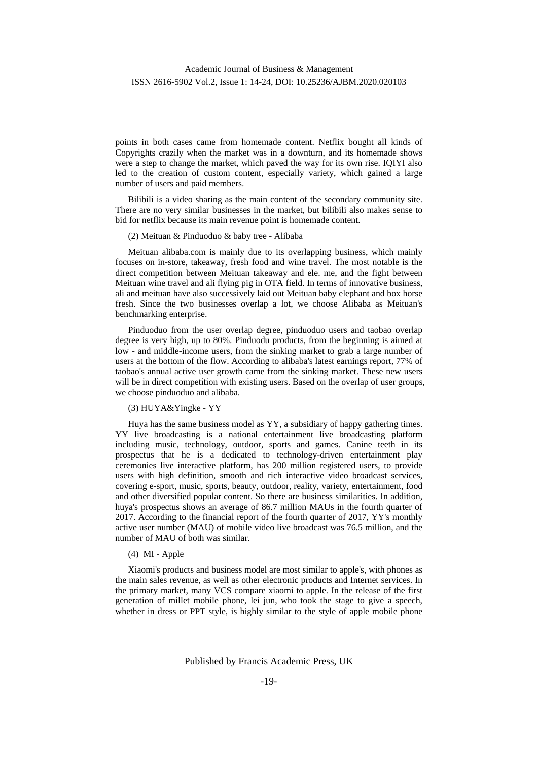points in both cases came from homemade content. Netflix bought all kinds of Copyrights crazily when the market was in a downturn, and its homemade shows were a step to change the market, which paved the way for its own rise. IQIYI also led to the creation of custom content, especially variety, which gained a large number of users and paid members.

Bilibili is a video sharing as the main content of the secondary community site. There are no very similar businesses in the market, but bilibili also makes sense to bid for netflix because its main revenue point is homemade content.

#### (2) Meituan & Pinduoduo & baby tree - Alibaba

Meituan alibaba.com is mainly due to its overlapping business, which mainly focuses on in-store, takeaway, fresh food and wine travel. The most notable is the direct competition between Meituan takeaway and ele. me, and the fight between Meituan wine travel and ali flying pig in OTA field. In terms of innovative business, ali and meituan have also successively laid out Meituan baby elephant and box horse fresh. Since the two businesses overlap a lot, we choose Alibaba as Meituan's benchmarking enterprise.

Pinduoduo from the user overlap degree, pinduoduo users and taobao overlap degree is very high, up to 80%. Pinduodu products, from the beginning is aimed at low - and middle-income users, from the sinking market to grab a large number of users at the bottom of the flow. According to alibaba's latest earnings report, 77% of taobao's annual active user growth came from the sinking market. These new users will be in direct competition with existing users. Based on the overlap of user groups, we choose pinduoduo and alibaba.

## (3) HUYA&Yingke - YY

Huya has the same business model as YY, a subsidiary of happy gathering times. YY live broadcasting is a national entertainment live broadcasting platform including music, technology, outdoor, sports and games. Canine teeth in its prospectus that he is a dedicated to technology-driven entertainment play ceremonies live interactive platform, has 200 million registered users, to provide users with high definition, smooth and rich interactive video broadcast services, covering e-sport, music, sports, beauty, outdoor, reality, variety, entertainment, food and other diversified popular content. So there are business similarities. In addition, huya's prospectus shows an average of 86.7 million MAUs in the fourth quarter of 2017. According to the financial report of the fourth quarter of 2017, YY's monthly active user number (MAU) of mobile video live broadcast was 76.5 million, and the number of MAU of both was similar.

## (4) MI - Apple

Xiaomi's products and business model are most similar to apple's, with phones as the main sales revenue, as well as other electronic products and Internet services. In the primary market, many VCS compare xiaomi to apple. In the release of the first generation of millet mobile phone, lei jun, who took the stage to give a speech, whether in dress or PPT style, is highly similar to the style of apple mobile phone

Published by Francis Academic Press, UK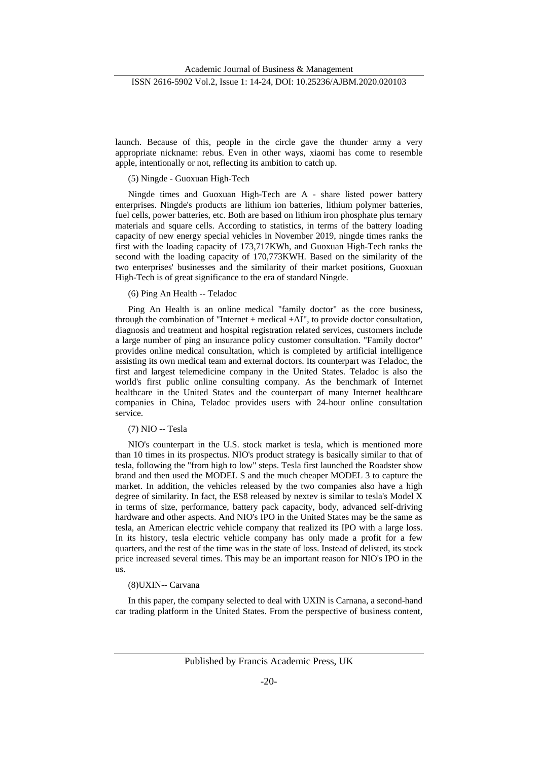launch. Because of this, people in the circle gave the thunder army a very appropriate nickname: rebus. Even in other ways, xiaomi has come to resemble apple, intentionally or not, reflecting its ambition to catch up.

(5) Ningde - Guoxuan High-Tech

Ningde times and Guoxuan High-Tech are A - share listed power battery enterprises. Ningde's products are lithium ion batteries, lithium polymer batteries, fuel cells, power batteries, etc. Both are based on lithium iron phosphate plus ternary materials and square cells. According to statistics, in terms of the battery loading capacity of new energy special vehicles in November 2019, ningde times ranks the first with the loading capacity of 173,717KWh, and Guoxuan High-Tech ranks the second with the loading capacity of 170,773KWH. Based on the similarity of the two enterprises' businesses and the similarity of their market positions, Guoxuan High-Tech is of great significance to the era of standard Ningde.

#### (6) Ping An Health -- Teladoc

Ping An Health is an online medical "family doctor" as the core business, through the combination of "Internet + medical +AI", to provide doctor consultation, diagnosis and treatment and hospital registration related services, customers include a large number of ping an insurance policy customer consultation. "Family doctor" provides online medical consultation, which is completed by artificial intelligence assisting its own medical team and external doctors. Its counterpart was Teladoc, the first and largest telemedicine company in the United States. Teladoc is also the world's first public online consulting company. As the benchmark of Internet healthcare in the United States and the counterpart of many Internet healthcare companies in China, Teladoc provides users with 24-hour online consultation service.

## (7) NIO -- Tesla

NIO's counterpart in the U.S. stock market is tesla, which is mentioned more than 10 times in its prospectus. NIO's product strategy is basically similar to that of tesla, following the "from high to low" steps. Tesla first launched the Roadster show brand and then used the MODEL S and the much cheaper MODEL 3 to capture the market. In addition, the vehicles released by the two companies also have a high degree of similarity. In fact, the ES8 released by nextev is similar to tesla's Model X in terms of size, performance, battery pack capacity, body, advanced self-driving hardware and other aspects. And NIO's IPO in the United States may be the same as tesla, an American electric vehicle company that realized its IPO with a large loss. In its history, tesla electric vehicle company has only made a profit for a few quarters, and the rest of the time was in the state of loss. Instead of delisted, its stock price increased several times. This may be an important reason for NIO's IPO in the us.

#### (8)UXIN-- Carvana

In this paper, the company selected to deal with UXIN is Carnana, a second-hand car trading platform in the United States. From the perspective of business content,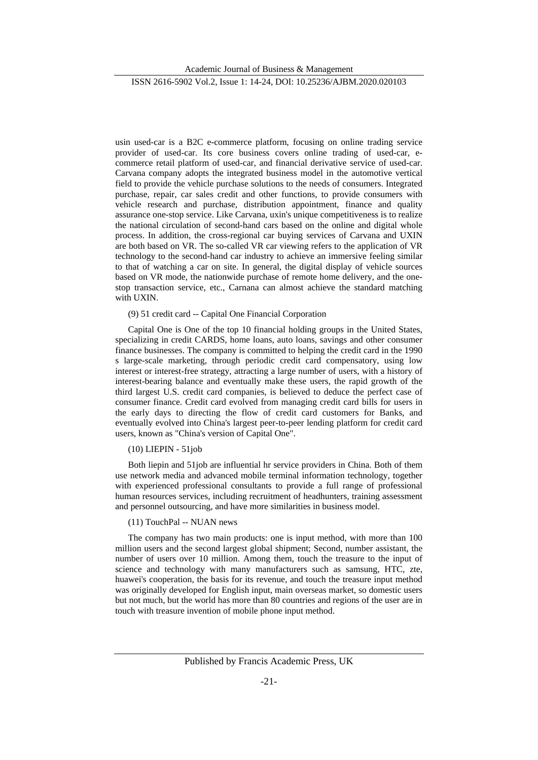usin used-car is a B2C e-commerce platform, focusing on online trading service provider of used-car. Its core business covers online trading of used-car, ecommerce retail platform of used-car, and financial derivative service of used-car. Carvana company adopts the integrated business model in the automotive vertical field to provide the vehicle purchase solutions to the needs of consumers. Integrated purchase, repair, car sales credit and other functions, to provide consumers with vehicle research and purchase, distribution appointment, finance and quality assurance one-stop service. Like Carvana, uxin's unique competitiveness is to realize the national circulation of second-hand cars based on the online and digital whole process. In addition, the cross-regional car buying services of Carvana and UXIN are both based on VR. The so-called VR car viewing refers to the application of VR technology to the second-hand car industry to achieve an immersive feeling similar to that of watching a car on site. In general, the digital display of vehicle sources based on VR mode, the nationwide purchase of remote home delivery, and the onestop transaction service, etc., Carnana can almost achieve the standard matching with UXIN.

#### (9) 51 credit card -- Capital One Financial Corporation

Capital One is One of the top 10 financial holding groups in the United States, specializing in credit CARDS, home loans, auto loans, savings and other consumer finance businesses. The company is committed to helping the credit card in the 1990 s large-scale marketing, through periodic credit card compensatory, using low interest or interest-free strategy, attracting a large number of users, with a history of interest-bearing balance and eventually make these users, the rapid growth of the third largest U.S. credit card companies, is believed to deduce the perfect case of consumer finance. Credit card evolved from managing credit card bills for users in the early days to directing the flow of credit card customers for Banks, and eventually evolved into China's largest peer-to-peer lending platform for credit card users, known as "China's version of Capital One".

## (10) LIEPIN - 51job

Both liepin and 51job are influential hr service providers in China. Both of them use network media and advanced mobile terminal information technology, together with experienced professional consultants to provide a full range of professional human resources services, including recruitment of headhunters, training assessment and personnel outsourcing, and have more similarities in business model.

## (11) TouchPal -- NUAN news

The company has two main products: one is input method, with more than 100 million users and the second largest global shipment; Second, number assistant, the number of users over 10 million. Among them, touch the treasure to the input of science and technology with many manufacturers such as samsung, HTC, zte, huawei's cooperation, the basis for its revenue, and touch the treasure input method was originally developed for English input, main overseas market, so domestic users but not much, but the world has more than 80 countries and regions of the user are in touch with treasure invention of mobile phone input method.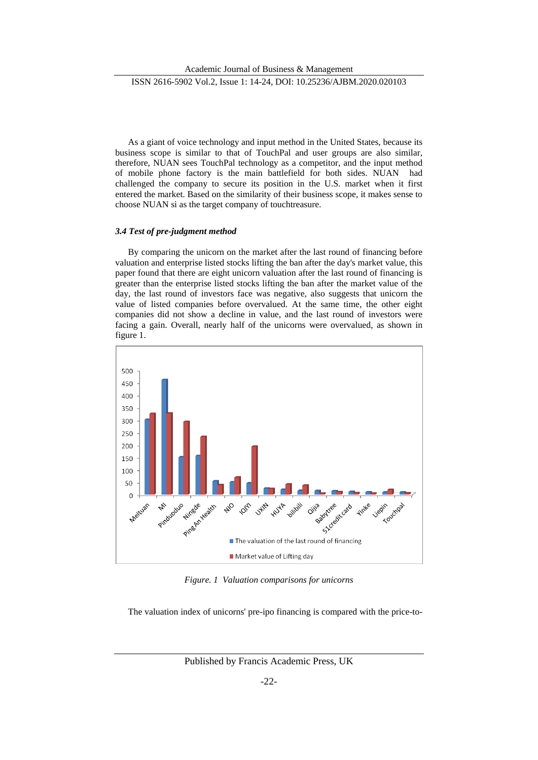As a giant of voice technology and input method in the United States, because its business scope is similar to that of TouchPal and user groups are also similar, therefore, NUAN sees TouchPal technology as a competitor, and the input method of mobile phone factory is the main battlefield for both sides. NUAN had challenged the company to secure its position in the U.S. market when it first entered the market. Based on the similarity of their business scope, it makes sense to choose NUAN si as the target company of touchtreasure.

## *3.4 Test of pre-judgment method*

By comparing the unicorn on the market after the last round of financing before valuation and enterprise listed stocks lifting the ban after the day's market value, this paper found that there are eight unicorn valuation after the last round of financing is greater than the enterprise listed stocks lifting the ban after the market value of the day, the last round of investors face was negative, also suggests that unicorn the value of listed companies before overvalued. At the same time, the other eight companies did not show a decline in value, and the last round of investors were facing a gain. Overall, nearly half of the unicorns were overvalued, as shown in figure 1.



*Figure. 1 Valuation comparisons for unicorns*

The valuation index of unicorns' pre-ipo financing is compared with the price-to-

Published by Francis Academic Press, UK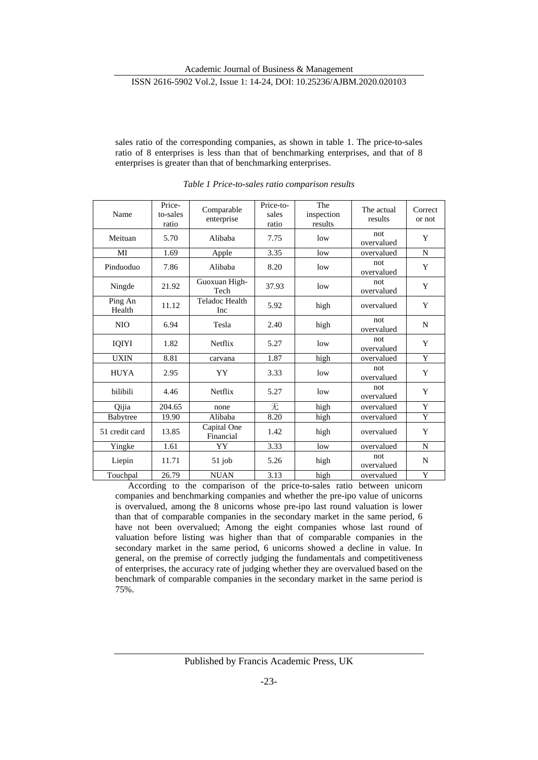sales ratio of the corresponding companies, as shown in table 1. The price-to-sales ratio of 8 enterprises is less than that of benchmarking enterprises, and that of 8 enterprises is greater than that of benchmarking enterprises.

| Name              | Price-<br>to-sales<br>ratio | Comparable<br>enterprise | Price-to-<br>sales<br>ratio | The<br>inspection<br>results | The actual<br>results | Correct<br>or not |
|-------------------|-----------------------------|--------------------------|-----------------------------|------------------------------|-----------------------|-------------------|
| Meituan           | 5.70                        | Alibaba                  | 7.75                        | low                          | not<br>overvalued     | Y                 |
| MI                | 1.69                        | Apple                    | 3.35                        | low                          | overvalued            | N                 |
| Pinduoduo         | 7.86                        | Alibaba                  | 8.20                        | low                          | not<br>overvalued     | Y                 |
| Ningde            | 21.92                       | Guoxuan High-<br>Tech    | 37.93                       | low                          | not<br>overvalued     | Y                 |
| Ping An<br>Health | 11.12                       | Teladoc Health<br>Inc    | 5.92                        | high                         | overvalued            | Y                 |
| <b>NIO</b>        | 6.94                        | Tesla                    | 2.40                        | high                         | not<br>overvalued     | N                 |
| IQIYI             | 1.82                        | Netflix                  | 5.27                        | low                          | not<br>overvalued     | Y                 |
| <b>UXIN</b>       | 8.81                        | carvana                  | 1.87                        | high                         | overvalued            | Y                 |
| <b>HUYA</b>       | 2.95                        | YY                       | 3.33                        | low                          | not<br>overvalued     | Y                 |
| bilibili          | 4.46                        | Netflix                  | 5.27                        | low                          | not<br>overvalued     | Y                 |
| Qijia             | 204.65                      | none                     | 无                           | high                         | overvalued            | Y                 |
| Babytree          | 19.90                       | Alibaba                  | 8.20                        | high                         | overvalued            | Y                 |
| 51 credit card    | 13.85                       | Capital One<br>Financial | 1.42                        | high                         | overvalued            | Y                 |
| Yingke            | 1.61                        | YY                       | 3.33                        | low                          | overvalued            | N                 |
| Liepin            | 11.71                       | $51$ job                 | 5.26                        | high                         | not<br>overvalued     | N                 |
| Touchpal          | 26.79                       | <b>NUAN</b>              | 3.13                        | high                         | overvalued            | Y                 |

*Table 1 Price-to-sales ratio comparison results*

According to the comparison of the price-to-sales ratio between unicorn companies and benchmarking companies and whether the pre-ipo value of unicorns is overvalued, among the 8 unicorns whose pre-ipo last round valuation is lower than that of comparable companies in the secondary market in the same period, 6 have not been overvalued; Among the eight companies whose last round of valuation before listing was higher than that of comparable companies in the secondary market in the same period, 6 unicorns showed a decline in value. In general, on the premise of correctly judging the fundamentals and competitiveness of enterprises, the accuracy rate of judging whether they are overvalued based on the benchmark of comparable companies in the secondary market in the same period is 75%.